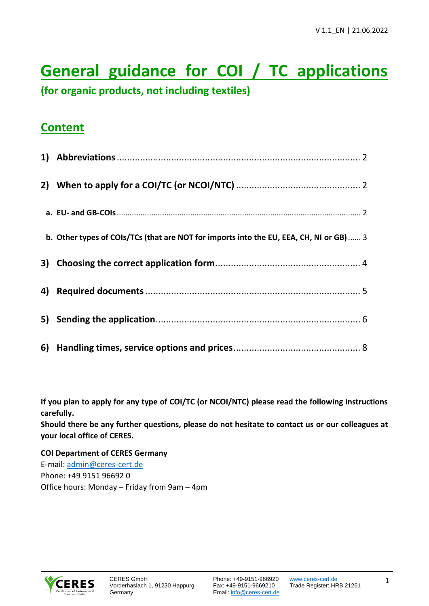# **General guidance for COI / TC applications**

**(for organic products, not including textiles)**

# **Content**

| b. Other types of COIs/TCs (that are NOT for imports into the EU, EEA, CH, NI or GB)  3 |
|-----------------------------------------------------------------------------------------|
|                                                                                         |
|                                                                                         |
|                                                                                         |
|                                                                                         |

**If you plan to apply for any type of COI/TC (or NCOI/NTC) please read the following instructions carefully.**

**Should there be any further questions, please do not hesitate to contact us or our colleagues at your local office of CERES.**

**COI Department of CERES Germany** E-mail: [admin@ceres-cert.de](mailto:admin@ceres-cert.de) Phone: +49 9151 96692 0



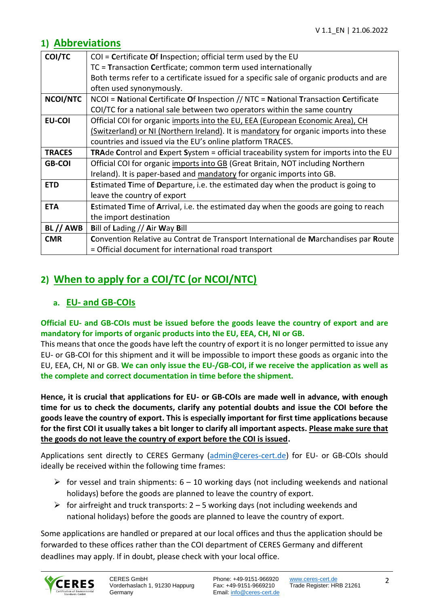# <span id="page-1-0"></span>**1) Abbreviations**

| COI/TC        | $COI =$ Certificate Of Inspection; official term used by the EU                            |  |  |
|---------------|--------------------------------------------------------------------------------------------|--|--|
|               | TC = Transaction Certficate; common term used internationally                              |  |  |
|               | Both terms refer to a certificate issued for a specific sale of organic products and are   |  |  |
|               | often used synonymously.                                                                   |  |  |
| NCOI/NTC      | NCOI = National Certificate Of Inspection // NTC = National Transaction Certificate        |  |  |
|               | COI/TC for a national sale between two operators within the same country                   |  |  |
| <b>EU-COI</b> | Official COI for organic imports into the EU, EEA (European Economic Area), CH             |  |  |
|               | (Switzerland) or NI (Northern Ireland). It is mandatory for organic imports into these     |  |  |
|               | countries and issued via the EU's online platform TRACES.                                  |  |  |
| <b>TRACES</b> | TRAde Control and Expert System = official traceability system for imports into the EU     |  |  |
| <b>GB-COI</b> | Official COI for organic imports into GB (Great Britain, NOT including Northern            |  |  |
|               | Ireland). It is paper-based and mandatory for organic imports into GB.                     |  |  |
| <b>ETD</b>    | Estimated Time of Departure, i.e. the estimated day when the product is going to           |  |  |
|               | leave the country of export                                                                |  |  |
| <b>ETA</b>    | <b>Estimated Time of Arrival, i.e. the estimated day when the goods are going to reach</b> |  |  |
|               | the import destination                                                                     |  |  |
| BL // AWB     | Bill of Lading // Air Way Bill                                                             |  |  |
| <b>CMR</b>    | Convention Relative au Contrat de Transport International de Marchandises par Route        |  |  |
|               | = Official document for international road transport                                       |  |  |

# <span id="page-1-1"></span>**2) When to apply for a COI/TC (or NCOI/NTC)**

### <span id="page-1-2"></span>**a. EU- and GB-COIs**

**Official EU- and GB-COIs must be issued before the goods leave the country of export and are mandatory for imports of organic products into the EU, EEA, CH, NI or GB.**

This means that once the goods have left the country of export it is no longer permitted to issue any EU- or GB-COI for this shipment and it will be impossible to import these goods as organic into the EU, EEA, CH, NI or GB. **We can only issue the EU-/GB-COI, if we receive the application as well as the complete and correct documentation in time before the shipment.**

**Hence, it is crucial that applications for EU- or GB-COIs are made well in advance, with enough time for us to check the documents, clarify any potential doubts and issue the COI before the goods leave the country of export. This is especially important for first time applications because for the first COI it usually takes a bit longer to clarify all important aspects. Please make sure that the goods do not leave the country of export before the COI is issued.**

Applications sent directly to CERES Germany [\(admin@ceres-cert.de\)](mailto:admin@ceres-cert.de) for EU- or GB-COIs should ideally be received within the following time frames:

- $\triangleright$  for vessel and train shipments: 6 10 working days (not including weekends and national holidays) before the goods are planned to leave the country of export.
- $\triangleright$  for airfreight and truck transports: 2 5 working days (not including weekends and national holidays) before the goods are planned to leave the country of export.

Some applications are handled or prepared at our local offices and thus the application should be forwarded to these offices rather than the COI department of CERES Germany and different deadlines may apply. If in doubt, please check with your local office.

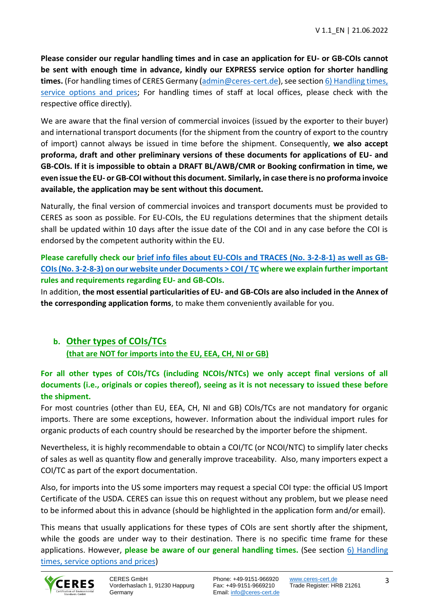**Please consider our regular handling times and in case an application for EU- or GB-COIs cannot be sent with enough time in advance, kindly our EXPRESS service option for shorter handling times.** (For handling times of CERES Germany [\(admin@ceres-cert.de\)](mailto:admin@ceres-cert.de), see sectio[n 6\) Handling times,](#page-6-0)  [service options and prices;](#page-6-0) For handling times of staff at local offices, please check with the respective office directly).

We are aware that the final version of commercial invoices (issued by the exporter to their buyer) and international transport documents (for the shipment from the country of export to the country of import) cannot always be issued in time before the shipment. Consequently, **we also accept proforma, draft and other preliminary versions of these documents for applications of EU- and GB-COIs. If it is impossible to obtain a DRAFT BL/AWB/CMR or Booking confirmation in time, we even issue the EU- or GB-COI without this document. Similarly, in case there is no proforma invoice available, the application may be sent without this document.**

Naturally, the final version of commercial invoices and transport documents must be provided to CERES as soon as possible. For EU-COIs, the EU regulations determines that the shipment details shall be updated within 10 days after the issue date of the COI and in any case before the COI is endorsed by the competent authority within the EU.

**Please carefully check our brief info files about EU-COIs and TRACES [\(No. 3-2-8-1\) as well as GB-](https://www.ceres-cert.de/en/documents?open=7781)[COIs \(No. 3-2-8-3\) on our website under Documents > COI / TC](https://www.ceres-cert.de/en/documents?open=7781) where we explain further important rules and requirements regarding EU- and GB-COIs.**

In addition, **the most essential particularities of EU- and GB-COIs are also included in the Annex of the corresponding application forms**, to make them conveniently available for you.

# <span id="page-2-0"></span>**b. Other types of COIs/TCs (that are NOT for imports into the EU, EEA, CH, NI or GB)**

**For all other types of COIs/TCs (including NCOIs/NTCs) we only accept final versions of all documents (i.e., originals or copies thereof), seeing as it is not necessary to issued these before the shipment.**

For most countries (other than EU, EEA, CH, NI and GB) COIs/TCs are not mandatory for organic imports. There are some exceptions, however. Information about the individual import rules for organic products of each country should be researched by the importer before the shipment.

Nevertheless, it is highly recommendable to obtain a COI/TC (or NCOI/NTC) to simplify later checks of sales as well as quantity flow and generally improve traceability. Also, many importers expect a COI/TC as part of the export documentation.

Also, for imports into the US some importers may request a special COI type: the official US Import Certificate of the USDA. CERES can issue this on request without any problem, but we please need to be informed about this in advance (should be highlighted in the application form and/or email).

This means that usually applications for these types of COIs are sent shortly after the shipment, while the goods are under way to their destination. There is no specific time frame for these applications. However, **please be aware of our general handling times.** (See section [6\) Handling](#page-6-0)  [times, service options and prices\)](#page-6-0)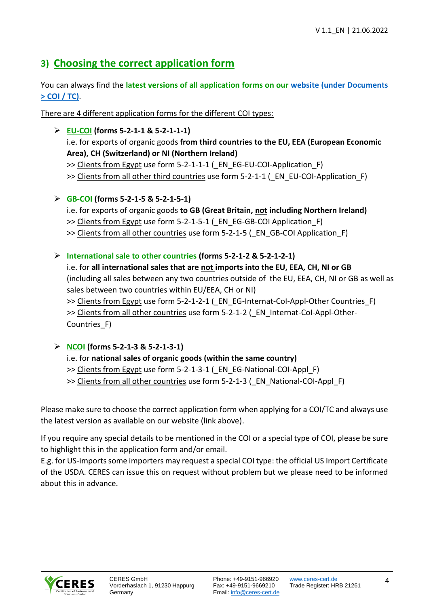# <span id="page-3-0"></span>**3) Choosing the correct application form**

You can always find the **latest versions of all application forms on our [website \(under](https://www.ceres-cert.de/en/documents?open=7781) Documents [> COI / TC\)](https://www.ceres-cert.de/en/documents?open=7781)**.

There are 4 different application forms for the different COI types:

➢ **EU-COI (forms 5-2-1-1 & 5-2-1-1-1)** i.e. for exports of organic goods **from third countries to the EU, EEA (European Economic Area), CH (Switzerland) or NI (Northern Ireland)** >> Clients from Egypt use form 5-2-1-1-1 ( EN EG-EU-COI-Application F) >> Clients from all other third countries use form 5-2-1-1 (\_EN\_EU-COI-Application\_F)

- ➢ **GB-COI (forms 5-2-1-5 & 5-2-1-5-1)**
	- i.e. for exports of organic goods **to GB (Great Britain, not including Northern Ireland)**
	- >> Clients from Egypt use form 5-2-1-5-1 ( EN EG-GB-COI Application F)
	- >> Clients from all other countries use form 5-2-1-5 ( EN GB-COI Application F)
- ➢ **International sale to other countries (forms 5-2-1-2 & 5-2-1-2-1)**

i.e. for **all international sales that are not imports into the EU, EEA, CH, NI or GB** (including all sales between any two countries outside of the EU, EEA, CH, NI or GB as well as sales between two countries within EU/EEA, CH or NI) >> Clients from Egypt use form 5-2-1-2-1 ( EN EG-Internat-CoI-Appl-Other Countries F) >> Clients from all other countries use form 5-2-1-2 ( EN Internat-CoI-Appl-Other-

Countries\_F)

- ➢ **NCOI (forms 5-2-1-3 & 5-2-1-3-1)**
	- i.e. for **national sales of organic goods (within the same country)**
	- >> Clients from Egypt use form 5-2-1-3-1 ( EN EG-National-COI-Appl F)
	- >> Clients from all other countries use form 5-2-1-3 ( EN\_National-COI-Appl\_F)

Please make sure to choose the correct application form when applying for a COI/TC and always use the latest version as available on our website (link above).

If you require any special details to be mentioned in the COI or a special type of COI, please be sure to highlight this in the application form and/or email.

E.g. for US-imports some importers may request a special COI type: the official US Import Certificate of the USDA. CERES can issue this on request without problem but we please need to be informed about this in advance.

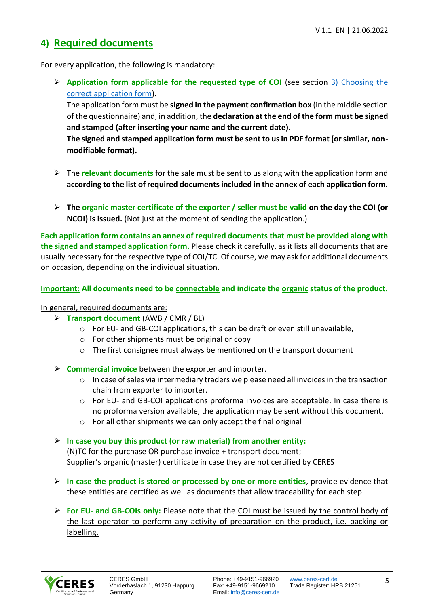# <span id="page-4-0"></span>**4) Required documents**

For every application, the following is mandatory:

➢ **Application form applicable for the requested type of COI** (see section [3\) Choosing the](#page-3-0)  [correct application form\)](#page-3-0).

The application form must be **signed in the payment confirmation box** (in the middle section of the questionnaire) and, in addition, the **declaration at the end of the form must be signed and stamped (after inserting your name and the current date).**

**The signed and stamped application form must be sent to us in PDF format (or similar, nonmodifiable format).**

- ➢ The **relevant documents** for the sale must be sent to us along with the application form and **according to the list of required documents included in the annex of each application form.**
- ➢ **The organic master certificate of the exporter / seller must be valid on the day the COI (or NCOI) is issued.** (Not just at the moment of sending the application.)

**Each application form contains an annex of required documents that must be provided along with the signed and stamped application form.** Please check it carefully, as it lists all documents that are usually necessary for the respective type of COI/TC. Of course, we may ask for additional documents on occasion, depending on the individual situation.

**Important: All documents need to be connectable and indicate the organic status of the product.**

In general, required documents are:

- ➢ **Transport document** (AWB / CMR / BL)
	- $\circ$  For EU- and GB-COI applications, this can be draft or even still unavailable,
	- o For other shipments must be original or copy
	- o The first consignee must always be mentioned on the transport document
- ➢ **Commercial invoice** between the exporter and importer.
	- $\circ$  In case of sales via intermediary traders we please need all invoices in the transaction chain from exporter to importer.
	- o For EU- and GB-COI applications proforma invoices are acceptable. In case there is no proforma version available, the application may be sent without this document.
	- o For all other shipments we can only accept the final original
- ➢ **In case you buy this product (or raw material) from another entity:** (N)TC for the purchase OR purchase invoice + transport document; Supplier's organic (master) certificate in case they are not certified by CERES
- ➢ **In case the product is stored or processed by one or more entities**, provide evidence that these entities are certified as well as documents that allow traceability for each step
- ➢ **For EU- and GB-COIs only:** Please note that the COI must be issued by the control body of the last operator to perform any activity of preparation on the product, i.e. packing or labelling.

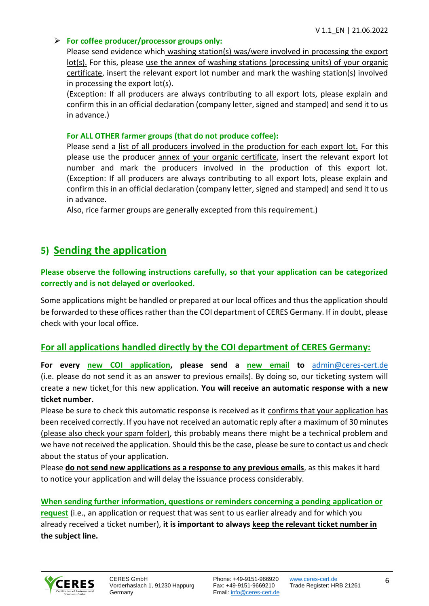#### ➢ **For coffee producer/processor groups only:**

Please send evidence which washing station(s) was/were involved in processing the export lot(s). For this, please use the annex of washing stations (processing units) of your organic certificate, insert the relevant export lot number and mark the washing station(s) involved in processing the export lot(s).

(Exception: If all producers are always contributing to all export lots, please explain and confirm this in an official declaration (company letter, signed and stamped) and send it to us in advance.)

#### **For ALL OTHER farmer groups (that do not produce coffee):**

Please send a list of all producers involved in the production for each export lot. For this please use the producer annex of your organic certificate, insert the relevant export lot number and mark the producers involved in the production of this export lot. (Exception: If all producers are always contributing to all export lots, please explain and confirm this in an official declaration (company letter, signed and stamped) and send it to us in advance.

Also, rice farmer groups are generally excepted from this requirement.)

# <span id="page-5-0"></span>**5) Sending the application**

#### **Please observe the following instructions carefully, so that your application can be categorized correctly and is not delayed or overlooked.**

Some applications might be handled or prepared at our local offices and thus the application should be forwarded to these offices rather than the COI department of CERES Germany. If in doubt, please check with your local office.

#### **For all applications handled directly by the COI department of CERES Germany:**

**For every new COI application, please send a new email to** admin@ceres-cert.de (i.e. please do not send it as an answer to previous emails). By doing so, our ticketing system will create a new ticket for this new application. **You will receive an automatic response with a new ticket number.**

Please be sure to check this automatic response is received as it confirms that your application has been received correctly. If you have not received an automatic reply after a maximum of 30 minutes (please also check your spam folder), this probably means there might be a technical problem and we have not received the application. Should this be the case, please be sure to contact us and check about the status of your application.

Please **do not send new applications as a response to any previous emails**, as this makes it hard to notice your application and will delay the issuance process considerably.

**When sending further information, questions or reminders concerning a pending application or request** (i.e., an application or request that was sent to us earlier already and for which you already received a ticket number), **it is important to always keep the relevant ticket number in** 

**the subject line.**

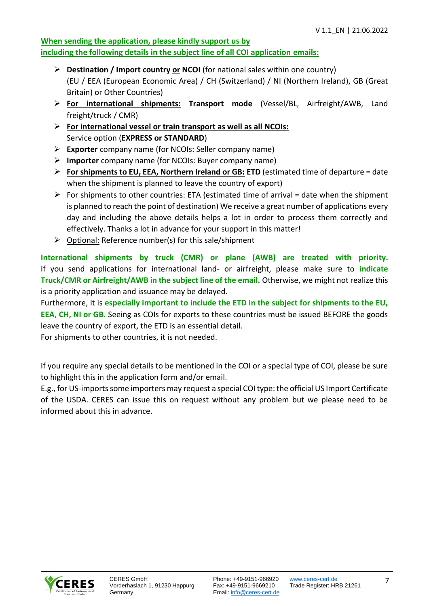#### **When sending the application, please kindly support us by including the following details in the subject line of all COI application emails:**

- ➢ **Destination / Import country or NCOI** (for national sales within one country) (EU / EEA (European Economic Area) / CH (Switzerland) / NI (Northern Ireland), GB (Great Britain) or Other Countries)
- ➢ **For international shipments: Transport mode** (Vessel/BL, Airfreight/AWB, Land freight/truck / CMR)
- ➢ **For international vessel or train transport as well as all NCOIs:** Service option (**EXPRESS or STANDARD**)
- ➢ **Exporter** company name (for NCOIs: Seller company name)
- ➢ **Importer** company name (for NCOIs: Buyer company name)
- ➢ **For shipments to EU, EEA, Northern Ireland or GB: ETD** (estimated time of departure = date when the shipment is planned to leave the country of export)
- $\triangleright$  For shipments to other countries: ETA (estimated time of arrival = date when the shipment is planned to reach the point of destination) We receive a great number of applications every day and including the above details helps a lot in order to process them correctly and effectively. Thanks a lot in advance for your support in this matter!
- $\triangleright$  Optional: Reference number(s) for this sale/shipment

**International shipments by truck (CMR) or plane (AWB) are treated with priority.**  If you send applications for international land- or airfreight, please make sure to **indicate Truck/CMR or Airfreight/AWB in the subject line of the email.** Otherwise, we might not realize this is a priority application and issuance may be delayed.

Furthermore, it is **especially important to include the ETD in the subject for shipments to the EU, EEA, CH, NI or GB.** Seeing as COIs for exports to these countries must be issued BEFORE the goods leave the country of export, the ETD is an essential detail.

For shipments to other countries, it is not needed.

If you require any special details to be mentioned in the COI or a special type of COI, please be sure to highlight this in the application form and/or email.

<span id="page-6-0"></span>E.g., for US-imports some importers may request a special COI type: the official US Import Certificate of the USDA. CERES can issue this on request without any problem but we please need to be informed about this in advance.